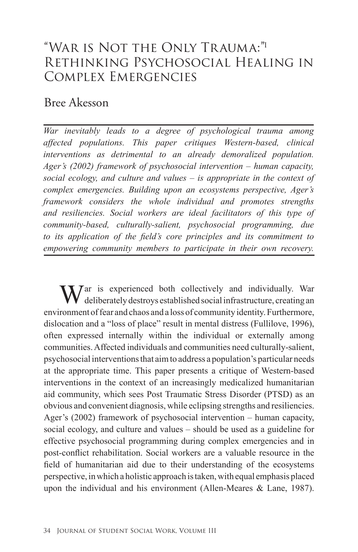# "WAR IS NOT THE ONLY TRAUMA:" RETHINKING PSYCHOSOCIAL HEALING IN COMPLEX EMERGENCIES

## Bree Akesson

*War inevitably leads to a degree of psychological trauma among affected populations. This paper critiques Western-based, clinical interventions as detrimental to an already demoralized population. Ager's (2002) framework of psychosocial intervention – human capacity, social ecology, and culture and values – is appropriate in the context of complex emergencies. Building upon an ecosystems perspective, Ager's framework considers the whole individual and promotes strengths and resiliencies. Social workers are ideal facilitators of this type of community-based, culturally-salient, psychosocial programming, due to its application of the field's core principles and its commitment to empowering community members to participate in their own recovery.*

 $\sum_{n=1}^{\infty}$  ar is experienced both collectively and individually. War deliberately destroys established social infrastructure, creating an environment of fear and chaos and a loss of community identity. Furthermore, dislocation and a "loss of place" result in mental distress (Fullilove, 1996), often expressed internally within the individual or externally among communities. Affected individuals and communities need culturally-salient, psychosocial interventions that aim to address a population's particular needs at the appropriate time. This paper presents a critique of Western-based interventions in the context of an increasingly medicalized humanitarian aid community, which sees Post Traumatic Stress Disorder (PTSD) as an obvious and convenient diagnosis, while eclipsing strengths and resiliencies. Ager's (2002) framework of psychosocial intervention – human capacity, social ecology, and culture and values – should be used as a guideline for effective psychosocial programming during complex emergencies and in post-conflict rehabilitation. Social workers are a valuable resource in the field of humanitarian aid due to their understanding of the ecosystems perspective, in which a holistic approach is taken, with equal emphasis placed upon the individual and his environment (Allen-Meares & Lane, 1987).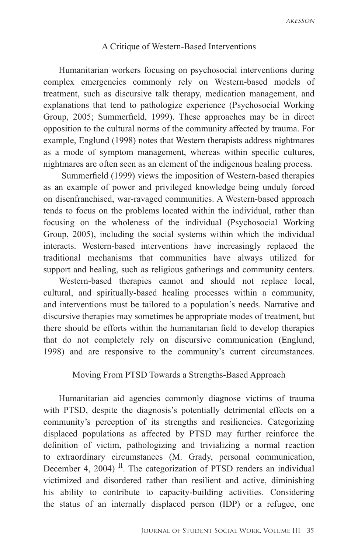### A Critique of Western-Based Interventions

Humanitarian workers focusing on psychosocial interventions during complex emergencies commonly rely on Western-based models of treatment, such as discursive talk therapy, medication management, and explanations that tend to pathologize experience (Psychosocial Working Group, 2005; Summerfield, 1999). These approaches may be in direct opposition to the cultural norms of the community affected by trauma. For example, Englund (1998) notes that Western therapists address nightmares as a mode of symptom management, whereas within specific cultures, nightmares are often seen as an element of the indigenous healing process.

 Summerfield (1999) views the imposition of Western-based therapies as an example of power and privileged knowledge being unduly forced on disenfranchised, war-ravaged communities. A Western-based approach tends to focus on the problems located within the individual, rather than focusing on the wholeness of the individual (Psychosocial Working Group, 2005), including the social systems within which the individual interacts. Western-based interventions have increasingly replaced the traditional mechanisms that communities have always utilized for support and healing, such as religious gatherings and community centers.

Western-based therapies cannot and should not replace local, cultural, and spiritually-based healing processes within a community, and interventions must be tailored to a population's needs. Narrative and discursive therapies may sometimes be appropriate modes of treatment, but there should be efforts within the humanitarian field to develop therapies that do not completely rely on discursive communication (Englund, 1998) and are responsive to the community's current circumstances.

#### Moving From PTSD Towards a Strengths-Based Approach

Humanitarian aid agencies commonly diagnose victims of trauma with PTSD, despite the diagnosis's potentially detrimental effects on a community's perception of its strengths and resiliencies. Categorizing displaced populations as affected by PTSD may further reinforce the definition of victim, pathologizing and trivializing a normal reaction to extraordinary circumstances (M. Grady, personal communication, December 4, 2004)<sup>II</sup>. The categorization of PTSD renders an individual victimized and disordered rather than resilient and active, diminishing his ability to contribute to capacity-building activities. Considering the status of an internally displaced person (IDP) or a refugee, one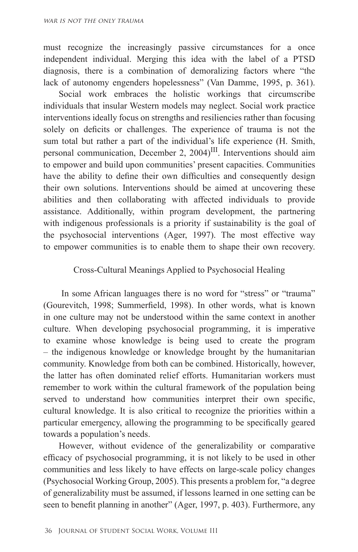must recognize the increasingly passive circumstances for a once independent individual. Merging this idea with the label of a PTSD diagnosis, there is a combination of demoralizing factors where "the lack of autonomy engenders hopelessness" (Van Damme, 1995, p. 361).

Social work embraces the holistic workings that circumscribe individuals that insular Western models may neglect. Social work practice interventions ideally focus on strengths and resiliencies rather than focusing solely on deficits or challenges. The experience of trauma is not the sum total but rather a part of the individual's life experience (H. Smith, personal communication, December 2, 2004)III. Interventions should aim to empower and build upon communities' present capacities. Communities have the ability to define their own difficulties and consequently design their own solutions. Interventions should be aimed at uncovering these abilities and then collaborating with affected individuals to provide assistance. Additionally, within program development, the partnering with indigenous professionals is a priority if sustainability is the goal of the psychosocial interventions (Ager, 1997). The most effective way to empower communities is to enable them to shape their own recovery.

#### Cross-Cultural Meanings Applied to Psychosocial Healing

 In some African languages there is no word for "stress" or "trauma" (Gourevitch, 1998; Summerfield, 1998). In other words, what is known in one culture may not be understood within the same context in another culture. When developing psychosocial programming, it is imperative to examine whose knowledge is being used to create the program – the indigenous knowledge or knowledge brought by the humanitarian community. Knowledge from both can be combined. Historically, however, the latter has often dominated relief efforts. Humanitarian workers must remember to work within the cultural framework of the population being served to understand how communities interpret their own specific, cultural knowledge. It is also critical to recognize the priorities within a particular emergency, allowing the programming to be specifically geared towards a population's needs.

However, without evidence of the generalizability or comparative efficacy of psychosocial programming, it is not likely to be used in other communities and less likely to have effects on large-scale policy changes (Psychosocial Working Group, 2005). This presents a problem for, "a degree of generalizability must be assumed, if lessons learned in one setting can be seen to benefit planning in another" (Ager, 1997, p. 403). Furthermore, any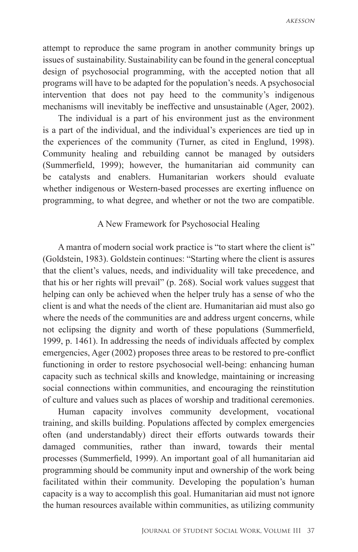$AKFSSON$ 

attempt to reproduce the same program in another community brings up issues of sustainability. Sustainability can be found in the general conceptual design of psychosocial programming, with the accepted notion that all programs will have to be adapted for the population's needs. A psychosocial intervention that does not pay heed to the community's indigenous mechanisms will inevitably be ineffective and unsustainable (Ager, 2002).

The individual is a part of his environment just as the environment is a part of the individual, and the individual's experiences are tied up in the experiences of the community (Turner, as cited in Englund, 1998). Community healing and rebuilding cannot be managed by outsiders (Summerfield, 1999); however, the humanitarian aid community can be catalysts and enablers. Humanitarian workers should evaluate whether indigenous or Western-based processes are exerting influence on programming, to what degree, and whether or not the two are compatible.

#### A New Framework for Psychosocial Healing

A mantra of modern social work practice is "to start where the client is" (Goldstein, 1983). Goldstein continues: "Starting where the client is assures that the client's values, needs, and individuality will take precedence, and that his or her rights will prevail" (p. 268). Social work values suggest that helping can only be achieved when the helper truly has a sense of who the client is and what the needs of the client are. Humanitarian aid must also go where the needs of the communities are and address urgent concerns, while not eclipsing the dignity and worth of these populations (Summerfield, 1999, p. 1461). In addressing the needs of individuals affected by complex emergencies, Ager (2002) proposes three areas to be restored to pre-conflict functioning in order to restore psychosocial well-being: enhancing human capacity such as technical skills and knowledge, maintaining or increasing social connections within communities, and encouraging the reinstitution of culture and values such as places of worship and traditional ceremonies.

Human capacity involves community development, vocational training, and skills building. Populations affected by complex emergencies often (and understandably) direct their efforts outwards towards their damaged communities, rather than inward, towards their mental processes (Summerfield, 1999). An important goal of all humanitarian aid programming should be community input and ownership of the work being facilitated within their community. Developing the population's human capacity is a way to accomplish this goal. Humanitarian aid must not ignore the human resources available within communities, as utilizing community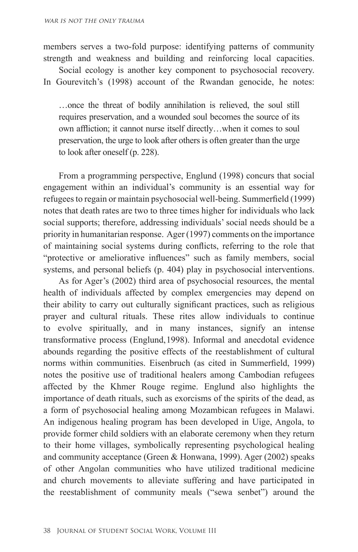members serves a two-fold purpose: identifying patterns of community strength and weakness and building and reinforcing local capacities.

Social ecology is another key component to psychosocial recovery. In Gourevitch's (1998) account of the Rwandan genocide, he notes:

…once the threat of bodily annihilation is relieved, the soul still requires preservation, and a wounded soul becomes the source of its own affliction; it cannot nurse itself directly…when it comes to soul preservation, the urge to look after others is often greater than the urge to look after oneself (p. 228).

From a programming perspective, Englund (1998) concurs that social engagement within an individual's community is an essential way for refugees to regain or maintain psychosocial well-being. Summerfield (1999) notes that death rates are two to three times higher for individuals who lack social supports; therefore, addressing individuals' social needs should be a priority in humanitarian response. Ager (1997) comments on the importance of maintaining social systems during conflicts, referring to the role that "protective or ameliorative influences" such as family members, social systems, and personal beliefs (p. 404) play in psychosocial interventions.

As for Ager's (2002) third area of psychosocial resources, the mental health of individuals affected by complex emergencies may depend on their ability to carry out culturally significant practices, such as religious prayer and cultural rituals. These rites allow individuals to continue to evolve spiritually, and in many instances, signify an intense transformative process (Englund, 1998). Informal and anecdotal evidence abounds regarding the positive effects of the reestablishment of cultural norms within communities. Eisenbruch (as cited in Summerfield, 1999) notes the positive use of traditional healers among Cambodian refugees affected by the Khmer Rouge regime. Englund also highlights the importance of death rituals, such as exorcisms of the spirits of the dead, as a form of psychosocial healing among Mozambican refugees in Malawi. An indigenous healing program has been developed in Uige, Angola, to provide former child soldiers with an elaborate ceremony when they return to their home villages, symbolically representing psychological healing and community acceptance (Green & Honwana, 1999). Ager (2002) speaks of other Angolan communities who have utilized traditional medicine and church movements to alleviate suffering and have participated in the reestablishment of community meals ("sewa senbet") around the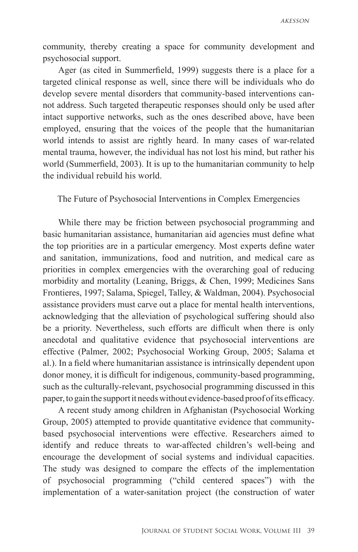community, thereby creating a space for community development and psychosocial support.

Ager (as cited in Summerfield, 1999) suggests there is a place for a targeted clinical response as well, since there will be individuals who do develop severe mental disorders that community-based interventions cannot address. Such targeted therapeutic responses should only be used after intact supportive networks, such as the ones described above, have been employed, ensuring that the voices of the people that the humanitarian world intends to assist are rightly heard. In many cases of war-related mental trauma, however, the individual has not lost his mind, but rather his world (Summerfield, 2003). It is up to the humanitarian community to help the individual rebuild his world.

The Future of Psychosocial Interventions in Complex Emergencies

While there may be friction between psychosocial programming and basic humanitarian assistance, humanitarian aid agencies must define what the top priorities are in a particular emergency. Most experts define water and sanitation, immunizations, food and nutrition, and medical care as priorities in complex emergencies with the overarching goal of reducing morbidity and mortality (Leaning, Briggs, & Chen, 1999; Medicines Sans Frontieres, 1997; Salama, Spiegel, Talley, & Waldman, 2004). Psychosocial assistance providers must carve out a place for mental health interventions, acknowledging that the alleviation of psychological suffering should also be a priority. Nevertheless, such efforts are difficult when there is only anecdotal and qualitative evidence that psychosocial interventions are effective (Palmer, 2002; Psychosocial Working Group, 2005; Salama et al.). In a field where humanitarian assistance is intrinsically dependent upon donor money, it is difficult for indigenous, community-based programming, such as the culturally-relevant, psychosocial programming discussed in this paper, to gain the support it needs without evidence-based proof of its efficacy.

A recent study among children in Afghanistan (Psychosocial Working Group, 2005) attempted to provide quantitative evidence that communitybased psychosocial interventions were effective. Researchers aimed to identify and reduce threats to war-affected children's well-being and encourage the development of social systems and individual capacities. The study was designed to compare the effects of the implementation of psychosocial programming ("child centered spaces") with the implementation of a water-sanitation project (the construction of water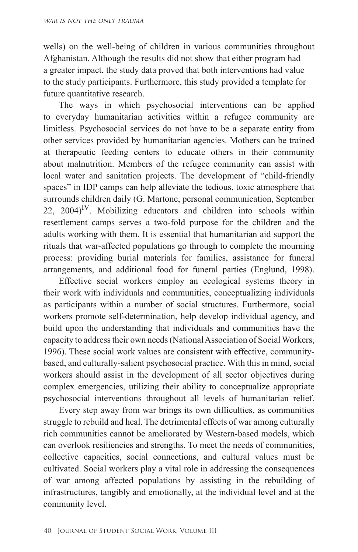wells) on the well-being of children in various communities throughout Afghanistan. Although the results did not show that either program had a greater impact, the study data proved that both interventions had value to the study participants. Furthermore, this study provided a template for future quantitative research.

The ways in which psychosocial interventions can be applied to everyday humanitarian activities within a refugee community are limitless. Psychosocial services do not have to be a separate entity from other services provided by humanitarian agencies. Mothers can be trained at therapeutic feeding centers to educate others in their community about malnutrition. Members of the refugee community can assist with local water and sanitation projects. The development of "child-friendly spaces" in IDP camps can help alleviate the tedious, toxic atmosphere that surrounds children daily (G. Martone, personal communication, September  $22$ ,  $2004$ <sup>IV</sup>. Mobilizing educators and children into schools within resettlement camps serves a two-fold purpose for the children and the adults working with them. It is essential that humanitarian aid support the rituals that war-affected populations go through to complete the mourning process: providing burial materials for families, assistance for funeral arrangements, and additional food for funeral parties (Englund, 1998).

Effective social workers employ an ecological systems theory in their work with individuals and communities, conceptualizing individuals as participants within a number of social structures. Furthermore, social workers promote self-determination, help develop individual agency, and build upon the understanding that individuals and communities have the capacity to address their own needs (National Association of Social Workers, 1996). These social work values are consistent with effective, communitybased, and culturally-salient psychosocial practice. With this in mind, social workers should assist in the development of all sector objectives during complex emergencies, utilizing their ability to conceptualize appropriate psychosocial interventions throughout all levels of humanitarian relief.

Every step away from war brings its own difficulties, as communities struggle to rebuild and heal. The detrimental effects of war among culturally rich communities cannot be ameliorated by Western-based models, which can overlook resiliencies and strengths. To meet the needs of communities, collective capacities, social connections, and cultural values must be cultivated. Social workers play a vital role in addressing the consequences of war among affected populations by assisting in the rebuilding of infrastructures, tangibly and emotionally, at the individual level and at the community level.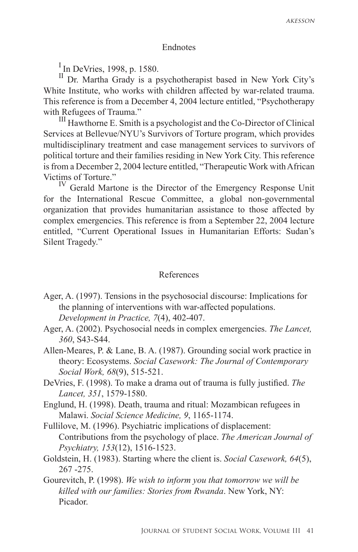#### Endnotes

<sup>I</sup> In DeVries, 1998, p. 1580.

II Dr. Martha Grady is a psychotherapist based in New York City's White Institute, who works with children affected by war-related trauma. This reference is from a December 4, 2004 lecture entitled, "Psychotherapy with Refugees of Trauma."<br><sup>III</sup> Hawthorne E. Smith is a psychologist and the Co-Director of Clinical

Services at Bellevue/NYU's Survivors of Torture program, which provides multidisciplinary treatment and case management services to survivors of political torture and their families residing in New York City. This reference is from a December 2, 2004 lecture entitled, "Therapeutic Work with African Victims of Torture."

<sup>IV</sup> Gerald Martone is the Director of the Emergency Response Unit for the International Rescue Committee, a global non-governmental organization that provides humanitarian assistance to those affected by complex emergencies. This reference is from a September 22, 2004 lecture entitled, "Current Operational Issues in Humanitarian Efforts: Sudan's Silent Tragedy."

#### References

- Ager, A. (1997). Tensions in the psychosocial discourse: Implications for the planning of interventions with war-affected populations. *Development in Practice, 7*(4), 402-407.
- Ager, A. (2002). Psychosocial needs in complex emergencies. *The Lancet, 360*, S43-S44.
- Allen-Meares, P. & Lane, B. A. (1987). Grounding social work practice in theory: Ecosystems. *Social Casework: The Journal of Contemporary Social Work, 68*(9), 515-521.
- DeVries, F. (1998). To make a drama out of trauma is fully justified. *The Lancet, 351*, 1579-1580.
- Englund, H. (1998). Death, trauma and ritual: Mozambican refugees in Malawi. *Social Science Medicine, 9*, 1165-1174.
- Fullilove, M. (1996). Psychiatric implications of displacement: Contributions from the psychology of place. *The American Journal of Psychiatry, 153*(12), 1516-1523.
- Goldstein, H. (1983). Starting where the client is. *Social Casework, 64*(5), 267 -275.

Gourevitch, P. (1998). *We wish to inform you that tomorrow we will be killed with our families: Stories from Rwanda*. New York, NY: Picador.